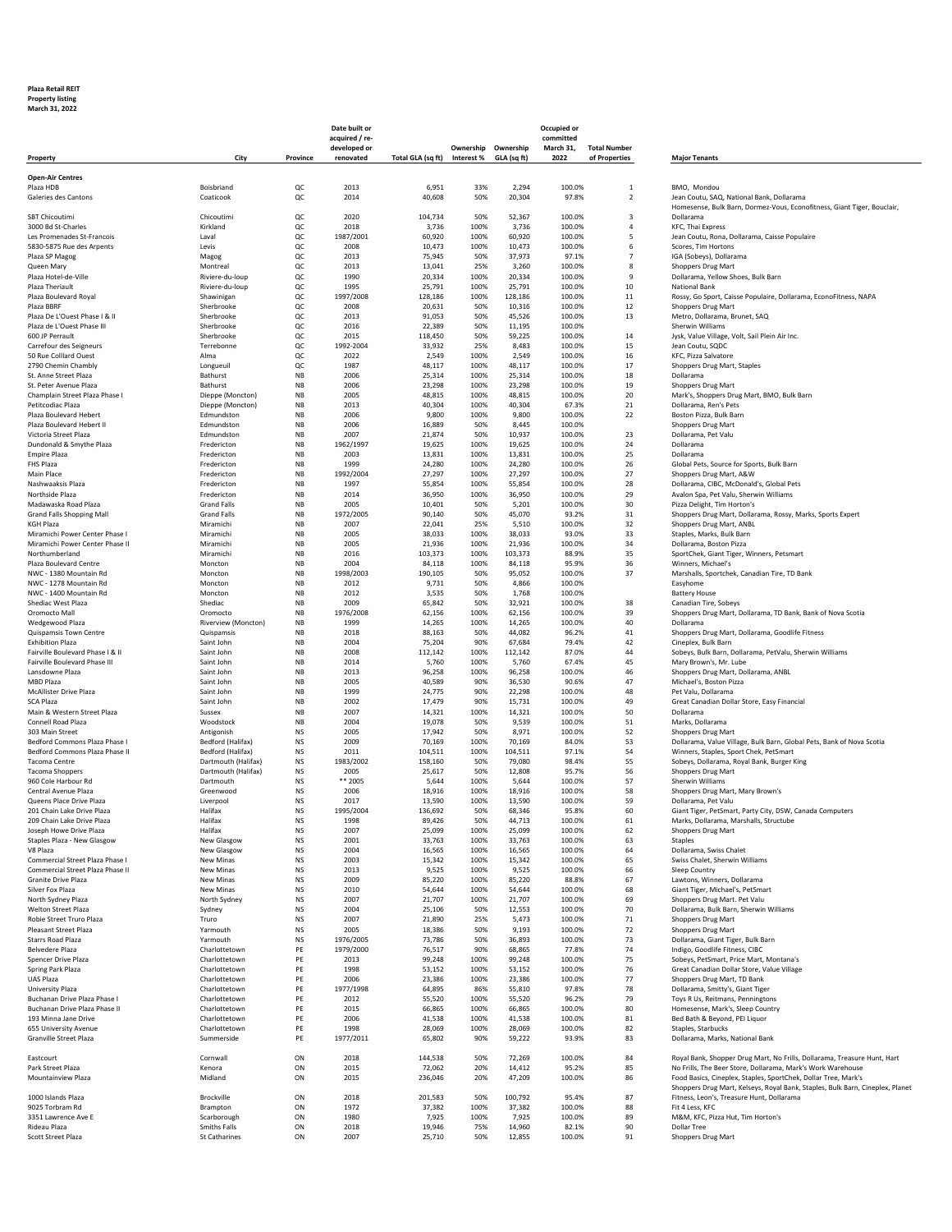## **Plaza Retail REIT**

**Property listing March 31, 2022**

|                                                          |                                            | Date built or          |                                |                   |                     | Occupied or<br>committed |                  |                                           |                                                                                                                               |
|----------------------------------------------------------|--------------------------------------------|------------------------|--------------------------------|-------------------|---------------------|--------------------------|------------------|-------------------------------------------|-------------------------------------------------------------------------------------------------------------------------------|
|                                                          |                                            |                        | acquired / re-<br>developed or |                   | Ownership Ownership |                          | March 31,        | <b>Total Number</b>                       |                                                                                                                               |
| Property                                                 | City                                       | Province               | renovated                      | Total GLA (sq ft) | Interest %          | GLA (sq ft)              | 2022             | of Properties                             | <b>Maior Tenants</b>                                                                                                          |
| <b>Open-Air Centres</b>                                  |                                            |                        |                                |                   |                     |                          |                  |                                           |                                                                                                                               |
| Plaza HDB<br>Galeries des Cantons                        | Boisbriand<br>Coaticook                    | QC<br>QC               | 2013<br>2014                   | 6,951<br>40,608   | 33%<br>50%          | 2,294<br>20,304          | 100.0%<br>97.8%  | $\mathbf{1}$<br>$\overline{2}$            | BMO, Mondou<br>Jean Coutu, SAQ, National Bank, Dollarama                                                                      |
|                                                          |                                            |                        |                                |                   |                     |                          |                  |                                           | Homesense, Bulk Barn, Dormez-Vous, Econofitness, Giant Tiger, Bouclair,                                                       |
| <b>SBT Chicoutimi</b><br>3000 Bd St-Charles              | Chicoutimi<br>Kirkland                     | QC<br>QC               | 2020<br>2018                   | 104,734<br>3,736  | 50%<br>100%         | 52,367<br>3,736          | 100.0%<br>100.0% | $\overline{\mathbf{3}}$<br>$\overline{4}$ | Dollarama<br>KFC, Thai Express                                                                                                |
| Les Promenades St-Francois                               | Laval                                      | QC                     | 1987/2001                      | 60,920            | 100%                | 60,920                   | 100.0%           | 5                                         | Jean Coutu, Rona, Dollarama, Caisse Populaire                                                                                 |
| 5830-5875 Rue des Arpents                                | Levis                                      | QC                     | 2008                           | 10,473            | 100%                | 10,473                   | 100.0%           | 6                                         | Scores, Tim Hortons                                                                                                           |
| Plaza SP Magog                                           | Magog                                      | QC<br>QC               | 2013<br>2013                   | 75,945<br>13,041  | 50%<br>25%          | 37,973<br>3,260          | 97.1%<br>100.0%  | $\overline{7}$<br>8                       | IGA (Sobeys), Dollarama                                                                                                       |
| Queen Mary<br>Plaza Hotel-de-Ville                       | Montreal<br>Riviere-du-loup                | QC                     | 1990                           | 20,334            | 100%                | 20,334                   | 100.0%           | 9                                         | <b>Shoppers Drug Mart</b><br>Dollarama, Yellow Shoes, Bulk Barn                                                               |
| Plaza Theriault                                          | Riviere-du-loup                            | QC                     | 1995                           | 25,791            | 100%                | 25,791                   | 100.0%           | 10                                        | National Bank                                                                                                                 |
| Plaza Boulevard Royal                                    | Shawinigan                                 | QC                     | 1997/2008                      | 128,186           | 100%                | 128,186                  | 100.0%           | 11                                        | Rossy, Go Sport, Caisse Populaire, Dollarama, EconoFitness, NAPA                                                              |
| Plaza BBRF<br>Plaza De L'Ouest Phase I & II              | Sherbrooke<br>Sherbrooke                   | QC<br>QC               | 2008<br>2013                   | 20,631<br>91,053  | 50%<br>50%          | 10,316<br>45,526         | 100.0%<br>100.0% | 12<br>13                                  | <b>Shoppers Drug Mart</b><br>Metro, Dollarama, Brunet, SAQ                                                                    |
| Plaza de L'Ouest Phase III                               | Sherbrooke                                 | QC                     | 2016                           | 22,389            | 50%                 | 11,195                   | 100.0%           |                                           | Sherwin Williams                                                                                                              |
| 600 JP Perrault                                          | Sherbrooke                                 | QC                     | 2015<br>1992-2004              | 118,450           | 50%                 | 59,225                   | 100.0%           | 14                                        | Jysk, Value Village, Volt, Sail Plein Air Inc.<br>Jean Coutu, SQDC                                                            |
| Carrefour des Seigneurs<br>50 Rue Colllard Ouest         | Terrebonne<br>Alma                         | QC<br>QC               | 2022                           | 33,932<br>2,549   | 25%<br>100%         | 8,483<br>2,549           | 100.0%<br>100.0% | 15<br>16                                  | KFC. Pizza Salvatore                                                                                                          |
| 2790 Chemin Chambly                                      | Longueuil                                  | QC                     | 1987                           | 48,117            | 100%                | 48,117                   | 100.0%           | 17                                        | Shoppers Drug Mart, Staples                                                                                                   |
| St. Anne Street Plaza                                    | Bathurst                                   | $_{\mathsf{NB}}$       | 2006                           | 25,314            | 100%                | 25,314                   | 100.0%           | 18                                        | Dollarama                                                                                                                     |
| St. Peter Avenue Plaza<br>Champlain Street Plaza Phase I | Bathurst<br>Dieppe (Moncton)               | NB<br>NB               | 2006<br>2005                   | 23,298<br>48,815  | 100%<br>100%        | 23,298<br>48,815         | 100.0%<br>100.0% | 19<br>20                                  | <b>Shoppers Drug Mart</b><br>Mark's, Shoppers Drug Mart, BMO, Bulk Barn                                                       |
| Petitcodiac Plaza                                        | Dieppe (Moncton)                           | <b>NB</b>              | 2013                           | 40,304            | 100%                | 40,304                   | 67.3%            | 21                                        | Dollarama, Ren's Pets                                                                                                         |
| Plaza Boulevard Hebert                                   | Edmundston                                 | NB                     | 2006                           | 9,800             | 100%                | 9,800                    | 100.0%           | 22                                        | Boston Pizza, Bulk Barn                                                                                                       |
| Plaza Boulevard Hebert II<br>Victoria Street Plaza       | Edmundston<br>Edmundston                   | NB<br>NB               | 2006<br>2007                   | 16,889<br>21,874  | 50%<br>50%          | 8,445<br>10,937          | 100.0%<br>100.0% | 23                                        | <b>Shoppers Drug Mart</b><br>Dollarama, Pet Valu                                                                              |
| Dundonald & Smythe Plaza                                 | Fredericton                                | <b>NB</b>              | 1962/1997                      | 19,625            | 100%                | 19,625                   | 100.0%           | 24                                        | Dollarama                                                                                                                     |
| <b>Empire Plaza</b>                                      | Fredericton                                | $_{\mathsf{NB}}$       | 2003                           | 13,831            | 100%                | 13,831                   | 100.0%           | 25                                        | Dollarama                                                                                                                     |
| FHS Plaza<br>Main Place                                  | Fredericton<br>Fredericton                 | NB<br>NB               | 1999<br>1992/2004              | 24,280<br>27,297  | 100%<br>100%        | 24,280<br>27,297         | 100.0%<br>100.0% | 26<br>27                                  | Global Pets, Source for Sports, Bulk Barn<br>Shoppers Drug Mart, A&W                                                          |
| Nashwaaksis Plaza                                        | Fredericton                                | <b>NB</b>              | 1997                           | 55,854            | 100%                | 55,854                   | 100.0%           | 28                                        | Dollarama, CIBC, McDonald's, Global Pets                                                                                      |
| Northside Plaza                                          | Fredericton                                | $_{\mathsf{NB}}$       | 2014                           | 36,950            | 100%                | 36,950                   | 100.0%           | 29                                        | Avalon Spa, Pet Valu, Sherwin Williams                                                                                        |
| Madawaska Road Plaza                                     | <b>Grand Falls</b>                         | NB                     | 2005                           | 10,401            | 50%                 | 5,201                    | 100.0%           | 30                                        | Pizza Delight, Tim Horton's                                                                                                   |
| Grand Falls Shopping Mall<br><b>KGH Plaza</b>            | <b>Grand Falls</b><br>Miramichi            | NB<br><b>NB</b>        | 1972/2005<br>2007              | 90,140<br>22,041  | 50%<br>25%          | 45,070<br>5,510          | 93.2%<br>100.0%  | 31<br>32                                  | Shoppers Drug Mart, Dollarama, Rossy, Marks, Sports Expert<br>Shoppers Drug Mart, ANBL                                        |
| Miramichi Power Center Phase                             | Miramichi                                  | $_{\mathsf{NB}}$       | 2005                           | 38,033            | 100%                | 38,033                   | 93.0%            | 33                                        | Staples, Marks, Bulk Barn                                                                                                     |
| Miramichi Power Center Phase II                          | Miramichi                                  | NB                     | 2005                           | 21,936            | 100%                | 21,936                   | 100.0%           | 34                                        | Dollarama, Boston Pizza                                                                                                       |
| Northumberland<br>Plaza Boulevard Centre                 | Miramichi<br>Moncton                       | NB<br><b>NB</b>        | 2016<br>2004                   | 103,373<br>84,118 | 100%<br>100%        | 103,373<br>84,118        | 88.9%<br>95.9%   | 35<br>36                                  | SportChek, Giant Tiger, Winners, Petsmart<br>Winners, Michael's                                                               |
| NWC - 1380 Mountain Rd                                   | Moncton                                    | $_{\mathsf{NB}}$       | 1998/2003                      | 190,105           | 50%                 | 95,052                   | 100.0%           | 37                                        | Marshalls, Sportchek, Canadian Tire, TD Bank                                                                                  |
| NWC - 1278 Mountain Rd                                   | Moncton                                    | NB                     | 2012                           | 9,731             | 50%                 | 4,866                    | 100.0%           |                                           | Easyhome                                                                                                                      |
| NWC - 1400 Mountain Rd<br>Shediac West Plaza             | Moncton<br>Shediac                         | NB<br>NB               | 2012<br>2009                   | 3,535<br>65,842   | 50%<br>50%          | 1,768<br>32,921          | 100.0%<br>100.0% | 38                                        | <b>Battery House</b><br>Canadian Tire, Sobeys                                                                                 |
| Oromocto Mall                                            | Oromocto                                   | <b>NB</b>              | 1976/2008                      | 62,156            | 100%                | 62,156                   | 100.0%           | 39                                        | Shoppers Drug Mart, Dollarama, TD Bank, Bank of Nova Scotia                                                                   |
| Wedgewood Plaza                                          | Riverview (Moncton)                        | $_{\mathsf{NB}}$       | 1999                           | 14,265            | 100%                | 14,265                   | 100.0%           | 40                                        | Dollarama                                                                                                                     |
| Quispamsis Town Centre<br><b>Exhibition Plaza</b>        | Quispamsis<br>Saint John                   | NB<br>NB               | 2018<br>2004                   | 88,163<br>75,204  | 50%<br>90%          | 44,082<br>67,684         | 96.2%<br>79.4%   | 41<br>42                                  | Shoppers Drug Mart, Dollarama, Goodlife Fitness<br>Cineplex, Bulk Barn                                                        |
| Fairville Boulevard Phase I & II                         | Saint John                                 | <b>NB</b>              | 2008                           | 112,142           | 100%                | 112,142                  | 87.0%            | 44                                        | Sobeys, Bulk Barn, Dollarama, PetValu, Sherwin Williams                                                                       |
| <b>Fairville Boulevard Phase III</b>                     | Saint John                                 | NB                     | 2014                           | 5,760             | 100%                | 5,760                    | 67.4%            | 45                                        | Mary Brown's, Mr. Lube                                                                                                        |
| Lansdowne Plaza<br><b>MBD Plaza</b>                      | Saint John<br>Saint John                   | NB<br>NB               | 2013<br>2005                   | 96,258<br>40,589  | 100%<br>90%         | 96,258<br>36,530         | 100.0%<br>90.6%  | 46<br>47                                  | Shoppers Drug Mart, Dollarama, ANBL<br>Michael's, Boston Pizza                                                                |
| <b>McAllister Drive Plaza</b>                            | Saint John                                 | <b>NB</b>              | 1999                           | 24,775            | 90%                 | 22,298                   | 100.0%           | 48                                        | Pet Valu, Dollarama                                                                                                           |
| <b>SCA Plaza</b>                                         | Saint John                                 | $_{\mathsf{NB}}$       | 2002                           | 17,479            | 90%                 | 15,731                   | 100.0%           | 49                                        | Great Canadian Dollar Store, Easy Financial                                                                                   |
| Main & Western Street Plaza                              | Sussex                                     | NB                     | 2007                           | 14,321            | 100%                | 14,321                   | 100.0%           | 50                                        | Dollarama                                                                                                                     |
| Connell Road Plaza<br>303 Main Street                    | Woodstock<br>Antigonish                    | NB<br><b>NS</b>        | 2004<br>2005                   | 19,078<br>17,942  | 50%<br>50%          | 9,539<br>8,971           | 100.0%<br>100.0% | 51<br>52                                  | Marks, Dollarama<br>Shoppers Drug Mart                                                                                        |
| Bedford Commons Plaza Phase I                            | Bedford (Halifax)                          | <b>NS</b>              | 2009                           | 70,169            | 100%                | 70,169                   | 84.0%            | 53                                        | Dollarama, Value Village, Bulk Barn, Global Pets, Bank of Nova Scotia                                                         |
| Bedford Commons Plaza Phase II                           | Bedford (Halifax)                          | <b>NS</b>              | 2011                           | 104,511           | 100%                | 104,511                  | 97.1%            | 54                                        | Winners, Staples, Sport Chek, PetSmart                                                                                        |
| Tacoma Centre<br><b>Tacoma Shoppers</b>                  | Dartmouth (Halifax)<br>Dartmouth (Halifax) | <b>NS</b><br><b>NS</b> | 1983/2002<br>2005              | 158,160<br>25,617 | 50%<br>50%          | 79,080<br>12,808         | 98.4%<br>95.7%   | 55<br>56                                  | Sobeys, Dollarama, Royal Bank, Burger King<br>Shoppers Drug Mart                                                              |
| 960 Cole Harbour Rd                                      | Dartmouth                                  | <b>NS</b>              | ** 2005                        | 5,644             | 100%                | 5,644                    | 100.0%           | 57                                        | Sherwin Williams                                                                                                              |
| Central Avenue Plaza                                     | Greenwood                                  | <b>NS</b>              | 2006                           | 18,916            | 100%                | 18,916                   | 100.0%           | 58                                        | Shoppers Drug Mart, Mary Brown's                                                                                              |
| Queens Place Drive Plaza<br>201 Chain Lake Drive Plaza   | Liverpool<br>Halifax                       | <b>NS</b><br><b>NS</b> | 2017<br>1995/2004              | 13,590<br>136,692 | 100%<br>50%         | 13,590<br>68,346         | 100.0%<br>95.8%  | 59<br>60                                  | Dollarama, Pet Valu<br>Giant Tiger, PetSmart, Party City, DSW, Canada Computers                                               |
| 209 Chain Lake Drive Plaza                               | Halifay                                    | м٢                     | 1998                           | 89,426            | 50%                 | 44 713                   | 100.0%           | 61                                        | Marks, Dollarama, Marshalls, Structube                                                                                        |
| Joseph Howe Drive Plaza                                  | Halifax                                    | NS                     | 2007                           | 25,099            | 100%                | 25,099                   | 100.0%           | 62                                        | Shoppers Drug Mart                                                                                                            |
| Staples Plaza - New Glasgow                              | New Glasgow                                | NS                     | 2001                           | 33,763            | 100%                | 33,763                   | 100.0%           | 63                                        | Staples                                                                                                                       |
| V8 Plaza<br>Commercial Street Plaza Phase                | New Glasgow<br>New Minas                   | NS<br><b>NS</b>        | 2004<br>2003                   | 16,565<br>15,342  | 100%<br>100%        | 16,565<br>15,342         | 100.0%<br>100.0% | 64<br>65                                  | Dollarama, Swiss Chalet<br>Swiss Chalet, Sherwin Williams                                                                     |
| Commercial Street Plaza Phase II                         | New Minas                                  | <b>NS</b>              | 2013                           | 9,525             | 100%                | 9,525                    | 100.0%           | 66                                        | Sleep Country                                                                                                                 |
| Granite Drive Plaza                                      | New Minas                                  | <b>NS</b>              | 2009                           | 85,220            | 100%                | 85,220                   | 88.8%            | 67                                        | Lawtons, Winners, Dollarama                                                                                                   |
| Silver Fox Plaza<br>North Sydney Plaza                   | New Minas<br>North Sydney                  | <b>NS</b><br><b>NS</b> | 2010<br>2007                   | 54,644<br>21,707  | 100%<br>100%        | 54,644<br>21,707         | 100.0%<br>100.0% | 68<br>69                                  | Giant Tiger, Michael's, PetSmart<br>Shoppers Drug Mart. Pet Valu                                                              |
| Welton Street Plaza                                      | Sydney                                     | <b>NS</b>              | 2004                           | 25,106            | 50%                 | 12,553                   | 100.0%           | 70                                        | Dollarama, Bulk Barn, Sherwin Williams                                                                                        |
| Robie Street Truro Plaza                                 | Truro                                      | NS                     | 2007                           | 21,890            | 25%                 | 5,473                    | 100.0%           | 71                                        | <b>Shoppers Drug Mart</b>                                                                                                     |
| <b>Pleasant Street Plaza</b>                             | Yarmouth                                   | NS                     | 2005                           | 18,386            | 50%                 | 9,193                    | 100.0%           | 72                                        | Shoppers Drug Mart                                                                                                            |
| <b>Starrs Road Plaza</b><br><b>Belvedere Plaza</b>       | Yarmouth<br>Charlottetown                  | <b>NS</b><br>PE        | 1976/2005<br>1979/2000         | 73,786<br>76,517  | 50%<br>90%          | 36,893<br>68,865         | 100.0%<br>77.8%  | 73<br>74                                  | Dollarama, Giant Tiger, Bulk Barn<br>Indigo, Goodlife Fitness, CIBC                                                           |
| Spencer Drive Plaza                                      | Charlottetown                              | PE                     | 2013                           | 99,248            | 100%                | 99,248                   | 100.0%           | 75                                        | Sobeys, PetSmart, Price Mart, Montana's                                                                                       |
| Spring Park Plaza                                        | Charlottetown                              | PE                     | 1998                           | 53,152            | 100%                | 53,152                   | 100.0%           | 76                                        | Great Canadian Dollar Store, Value Village                                                                                    |
| UAS Plaza                                                | Charlottetown                              | PE<br>PE               | 2006<br>1977/1998              | 23,386<br>64,895  | 100%<br>86%         | 23,386                   | 100.0%<br>97.8%  | 77<br>78                                  | Shoppers Drug Mart, TD Bank                                                                                                   |
| University Plaza<br>Buchanan Drive Plaza Phase I         | Charlottetown<br>Charlottetown             | PE                     | 2012                           | 55,520            | 100%                | 55,810<br>55,520         | 96.2%            | 79                                        | Dollarama, Smitty's, Giant Tiger<br>Toys R Us, Reitmans, Penningtons                                                          |
| Buchanan Drive Plaza Phase II                            | Charlottetown                              | PE                     | 2015                           | 66,865            | 100%                | 66,865                   | 100.0%           | 80                                        | Homesense, Mark's, Sleep Country                                                                                              |
| 193 Minna Jane Drive                                     | Charlottetown                              | PE                     | 2006                           | 41,538            | 100%                | 41,538                   | 100.0%           | 81                                        | Bed Bath & Beyond, PEI Liquor                                                                                                 |
| 655 University Avenue<br>Granville Street Plaza          | Charlottetown<br>Summerside                | PE<br>PE               | 1998<br>1977/2011              | 28,069<br>65,802  | 100%<br>90%         | 28,069<br>59,222         | 100.0%<br>93.9%  | 82<br>83                                  | Staples, Starbucks<br>Dollarama, Marks, National Bank                                                                         |
|                                                          |                                            |                        |                                |                   |                     |                          |                  |                                           |                                                                                                                               |
| Eastcourt                                                | Cornwall                                   | ON                     | 2018                           | 144,538           | 50%                 | 72,269                   | 100.0%           | 84                                        | Royal Bank, Shopper Drug Mart, No Frills, Dollarama, Treasure Hunt, Hart                                                      |
| Park Street Plaza<br>Mountainview Plaza                  | Kenora<br>Midland                          | ON<br>ON               | 2015<br>2015                   | 72,062<br>236,046 | 20%<br>20%          | 14,412<br>47,209         | 95.2%<br>100.0%  | 85<br>86                                  | No Frills, The Beer Store, Dollarama, Mark's Work Warehouse<br>Food Basics, Cineplex, Staples, SportChek, Dollar Tree, Mark's |
|                                                          |                                            |                        |                                |                   |                     |                          |                  |                                           | Shoppers Drug Mart, Kelseys, Royal Bank, Staples, Bulk Barn, Cineplex, Planet                                                 |
| 1000 Islands Plaza                                       | Brockville                                 | ON                     | 2018                           | 201,583           | 50%                 | 100,792                  | 95.4%            | 87                                        | Fitness, Leon's, Treasure Hunt, Dollarama                                                                                     |
| 9025 Torbram Rd                                          | Brampton                                   | ON                     | 1972<br>1980                   | 37,382            | 100%                | 37,382                   | 100.0%           | 88<br>89                                  | Fit 4 Less, KFC                                                                                                               |
| 3351 Lawrence Ave E<br>Rideau Plaza                      | Scarborough<br><b>Smiths Falls</b>         | ON<br>ON               | 2018                           | 7,925<br>19,946   | 100%<br>75%         | 7,925<br>14,960          | 100.0%<br>82.1%  | 90                                        | M&M, KFC, Pizza Hut, Tim Horton's<br><b>Dollar Tree</b>                                                                       |
| Scott Street Plaza                                       | St Catharines                              | ON                     | 2007                           | 25,710            | 50%                 | 12,855                   | 100.0%           | 91                                        | <b>Shoppers Drug Mart</b>                                                                                                     |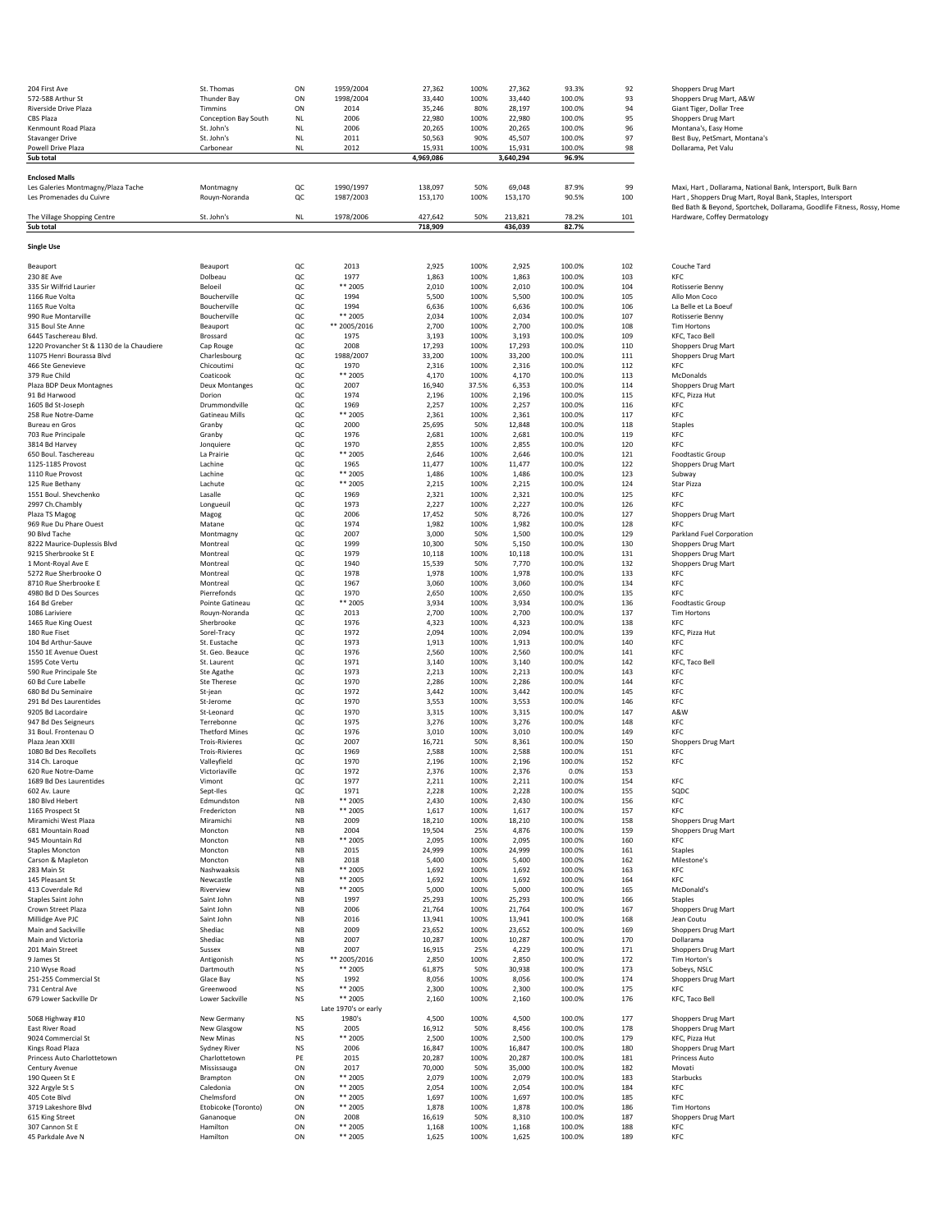| 204 First Ave                                                      | St. Thomas                | ON                     | 1959/2004            | 27,362          | 100%         | 27,362          | 93.3%            | 92         | Shoppers Drug Mart                                                     |
|--------------------------------------------------------------------|---------------------------|------------------------|----------------------|-----------------|--------------|-----------------|------------------|------------|------------------------------------------------------------------------|
| 572-588 Arthur St                                                  | <b>Thunder Bay</b>        | ON                     | 1998/2004            | 33,440          | 100%         | 33,440          | 100.0%           | 93         | Shoppers Drug Mart, A&W                                                |
| Riverside Drive Plaza                                              | Timmins                   | ON                     | 2014                 | 35,246          | 80%          | 28,197          | 100.0%           | 94         | Giant Tiger, Dollar Tree                                               |
| CBS Plaza                                                          | Conception Bay South      | <b>NL</b>              | 2006                 | 22,980          | 100%         | 22,980          | 100.0%           | 95         | Shoppers Drug Mart                                                     |
| Kenmount Road Plaza                                                | St. John's                | <b>NL</b>              | 2006                 | 20,265          | 100%         | 20,265          | 100.0%           | 96         | Montana's, Easy Home                                                   |
| <b>Stavanger Drive</b>                                             | St. John's                | NL                     | 2011                 | 50,563          | 90%          | 45,507          | 100.0%           | 97         | Best Buy, PetSmart, Montana's                                          |
| Powell Drive Plaza                                                 | Carbonear                 | NL                     | 2012                 | 15,931          | 100%         | 15,931          | 100.0%           | 98         | Dollarama, Pet Valu                                                    |
| Sub total                                                          |                           |                        |                      | 4,969,086       |              | 3,640,294       | 96.9%            |            |                                                                        |
| <b>Enclosed Malls</b>                                              |                           |                        |                      |                 |              |                 |                  |            |                                                                        |
| Les Galeries Montmagny/Plaza Tache                                 | Montmagny                 | QC                     | 1990/1997            | 138,097         | 50%          | 69,048          | 87.9%            | 99         | Maxi, Hart, Dollarama, National Bank, Intersport, Bulk Barn            |
| Les Promenades du Cuivre                                           | Rouyn-Noranda             | QC                     | 1987/2003            | 153,170         | 100%         | 153,170         | 90.5%            | 100        | Hart, Shoppers Drug Mart, Royal Bank, Staples, Intersport              |
|                                                                    |                           |                        |                      |                 |              |                 |                  |            | Bed Bath & Beyond, Sportchek, Dollarama, Goodlife Fitness, Rossy, Home |
| The Village Shopping Centre                                        | St. John's                | <b>NL</b>              | 1978/2006            | 427,642         | 50%          | 213,821         | 78.2%            | 101        | Hardware, Coffey Dermatology                                           |
| Sub total                                                          |                           |                        |                      | 718,909         |              | 436,039         | 82.7%            |            |                                                                        |
|                                                                    |                           |                        |                      |                 |              |                 |                  |            |                                                                        |
| <b>Single Use</b>                                                  |                           |                        |                      |                 |              |                 |                  |            |                                                                        |
| Beauport                                                           | Beauport                  | QC                     | 2013                 | 2,925           | 100%         | 2,925           | 100.0%           | 102        | Couche Tard                                                            |
| 230 8E Ave                                                         | Dolbeau                   | QC                     | 1977                 | 1,863           | 100%         | 1,863           | 100.0%           | 103        | KFC                                                                    |
| 335 Sir Wilfrid Laurier                                            | Beloeil                   | QC                     | ** 2005              | 2,010           | 100%         | 2,010           | 100.0%           | 104        | Rotisserie Benny                                                       |
| 1166 Rue Volta                                                     | Boucherville              | QC                     | 1994                 | 5,500           | 100%         | 5,500           | 100.0%           | 105        | Allo Mon Coco                                                          |
| 1165 Rue Volta                                                     | Boucherville              | QC                     | 1994                 | 6,636           | 100%         | 6,636           | 100.0%           | 106        | La Belle et La Boeuf                                                   |
| 990 Rue Montarville                                                | Boucherville              | QC                     | ** 2005              | 2,034           | 100%         | 2,034           | 100.0%           | 107        | Rotisserie Benny                                                       |
| 315 Boul Ste Anne                                                  | Beauport                  | QC                     | ** 2005/2016         | 2,700           | 100%         | 2,700           | 100.0%           | 108        | <b>Tim Hortons</b>                                                     |
| 6445 Taschereau Blvd.<br>1220 Provancher St & 1130 de la Chaudiere | Brossard                  | QC<br>QC               | 1975<br>2008         | 3,193<br>17,293 | 100%<br>100% | 3,193<br>17,293 | 100.0%<br>100.0% | 109<br>110 | KFC, Taco Bell<br><b>Shoppers Drug Mart</b>                            |
| 11075 Henri Bourassa Blvd                                          | Cap Rouge<br>Charlesbourg | QC                     | 1988/2007            | 33,200          | 100%         | 33,200          | 100.0%           | 111        | Shoppers Drug Mart                                                     |
| 466 Ste Genevieve                                                  | Chicoutimi                | QC                     | 1970                 | 2,316           | 100%         | 2,316           | 100.0%           | 112        | KFC                                                                    |
| 379 Rue Child                                                      | Coaticook                 | QC                     | ** 2005              | 4,170           | 100%         | 4,170           | 100.0%           | 113        | McDonalds                                                              |
| Plaza BDP Deux Montagnes                                           | <b>Deux Montanges</b>     | QC                     | 2007                 | 16,940          | 37.5%        | 6,353           | 100.0%           | 114        | <b>Shoppers Drug Mart</b>                                              |
| 91 Bd Harwood                                                      | Dorion                    | QC                     | 1974                 | 2,196           | 100%         | 2,196           | 100.0%           | 115        | KFC, Pizza Hut                                                         |
| 1605 Bd St-Joseph                                                  | Drummondville             | QC                     | 1969                 | 2,257           | 100%         | 2,257           | 100.0%           | 116        | KFC                                                                    |
| 258 Rue Notre-Dame                                                 | <b>Gatineau Mills</b>     | QC                     | ** 2005              | 2,361           | 100%         | 2,361           | 100.0%           | 117        | KFC                                                                    |
| Bureau en Gros                                                     | Granby                    | QC                     | 2000                 | 25,695          | 50%          | 12,848          | 100.0%           | 118        | Staples                                                                |
| 703 Rue Principale                                                 | Granby                    | QC                     | 1976                 | 2,681           | 100%         | 2,681           | 100.0%           | 119        | KFC                                                                    |
| 3814 Bd Harvey<br>650 Boul. Taschereau                             | Jonquiere                 | QC                     | 1970<br>$***$ 2005   | 2,855           | 100%<br>100% | 2,855           | 100.0%           | 120<br>121 | KFC                                                                    |
| 1125-1185 Provost                                                  | La Prairie<br>Lachine     | QC<br>QC               | 1965                 | 2,646<br>11,477 | 100%         | 2,646<br>11,477 | 100.0%<br>100.0% | 122        | <b>Foodtastic Group</b>                                                |
| 1110 Rue Provost                                                   | Lachine                   | QC                     | ** 2005              | 1,486           | 100%         | 1,486           | 100.0%           | 123        | Shoppers Drug Mart<br>Subway                                           |
| 125 Rue Bethany                                                    | Lachute                   | QC                     | ** 2005              | 2,215           | 100%         | 2,215           | 100.0%           | 124        | Star Pizza                                                             |
| 1551 Boul. Shevchenko                                              | Lasalle                   | QC                     | 1969                 | 2,321           | 100%         | 2,321           | 100.0%           | 125        | KFC                                                                    |
| 2997 Ch.Chambly                                                    | Longueuil                 | QC                     | 1973                 | 2,227           | 100%         | 2,227           | 100.0%           | 126        | KFC                                                                    |
| Plaza TS Magog                                                     | Magog                     | QC                     | 2006                 | 17,452          | 50%          | 8,726           | 100.0%           | 127        | Shoppers Drug Mart                                                     |
| 969 Rue Du Phare Ouest                                             | Matane                    | QC                     | 1974                 | 1,982           | 100%         | 1,982           | 100.0%           | 128        | KFC                                                                    |
| 90 Blvd Tache                                                      | Montmagny                 | QC                     | 2007                 | 3,000           | 50%          | 1,500           | 100.0%           | 129        | Parkland Fuel Corporation                                              |
| 8222 Maurice-Duplessis Blvd                                        | Montreal                  | QC                     | 1999                 | 10,300          | 50%          | 5,150           | 100.0%           | 130        | <b>Shoppers Drug Mart</b>                                              |
| 9215 Sherbrooke St E                                               | Montreal                  | QC                     | 1979                 | 10,118          | 100%         | 10,118          | 100.0%           | 131        | Shoppers Drug Mart                                                     |
| 1 Mont-Royal Ave E<br>5272 Rue Sherbrooke O                        | Montrea                   | QC                     | 1940<br>1978         | 15,539          | 50%<br>100%  | 7,770           | 100.0%           | 132        | Shoppers Drug Mart<br>KFC                                              |
| 8710 Rue Sherbrooke E                                              | Montreal<br>Montreal      | QC<br>QC               | 1967                 | 1,978<br>3,060  | 100%         | 1,978<br>3,060  | 100.0%<br>100.0% | 133<br>134 | KFC                                                                    |
| 4980 Bd D Des Sources                                              | Pierrefonds               | QC                     | 1970                 | 2,650           | 100%         | 2,650           | 100.0%           | 135        | KFC                                                                    |
| 164 Bd Greber                                                      | Pointe Gatineau           | QC                     | ** 2005              | 3,934           | 100%         | 3,934           | 100.0%           | 136        | Foodtastic Group                                                       |
| 1086 Lariviere                                                     | Rouyn-Noranda             | QC                     | 2013                 | 2,700           | 100%         | 2,700           | 100.0%           | 137        | <b>Tim Hortons</b>                                                     |
| 1465 Rue King Ouest                                                | Sherbrooke                | QC                     | 1976                 | 4,323           | 100%         | 4,323           | 100.0%           | 138        | KFC                                                                    |
| 180 Rue Fiset                                                      | Sorel-Tracy               | QC                     | 1972                 | 2,094           | 100%         | 2,094           | 100.0%           | 139        | KFC, Pizza Hut                                                         |
| 104 Bd Arthur-Sauve                                                | St. Eustache              | QC                     | 1973                 | 1,913           | 100%         | 1,913           | 100.0%           | 140        | KFC                                                                    |
| 1550 1E Avenue Ouest                                               | St. Geo. Beauce           | QC                     | 1976                 | 2,560           | 100%         | 2,560           | 100.0%           | 141        | KFC                                                                    |
| 1595 Cote Vertu                                                    | St. Laurent               | QC                     | 1971                 | 3,140           | 100%         | 3,140           | 100.0%           | 142        | KFC, Taco Bell                                                         |
| 590 Rue Principale Ste<br>60 Bd Cure Labelle                       | Ste Agathe                | QC<br>QC               | 1973<br>1970         | 2,213<br>2,286  | 100%<br>100% | 2,213<br>2,286  | 100.0%<br>100.0% | 143<br>144 | KFC<br>KFC                                                             |
| 680 Bd Du Seminaire                                                | Ste Therese<br>St-jean    | QC                     | 1972                 | 3,442           | 100%         | 3,442           | 100.0%           | 145        | KFC                                                                    |
| 291 Bd Des Laurentides                                             | St-Jerome                 | QC                     | 1970                 | 3,553           | 100%         | 3,553           | 100.0%           | 146        | KFC                                                                    |
| 9205 Bd Lacordaire                                                 | St-Leonard                | QC                     | 1970                 | 3,315           | 100%         | 3,315           | 100.0%           | 147        | A&W                                                                    |
| 947 Bd Des Seigneurs                                               | Terrebonne                | QC                     | 1975                 | 3,276           | 100%         | 3,276           | 100.0%           | 148        | KFC                                                                    |
| 31 Boul. Frontenau O                                               | <b>Thetford Mines</b>     | QC                     | 1976                 | 3,010           | 100%         | 3,010           | 100.0%           | 149        | KFC                                                                    |
| Plaza Jean XXIII                                                   | <b>Trois-Rivieres</b>     | QC                     | 2007                 | 16,721          | 50%          | 8,361           | 100.0%           | 150        | Shoppers Drug Mart                                                     |
| 1080 Bd Des Recollets                                              | <b>Trois-Rivieres</b>     | QC                     | 1969                 | 2,588           | 100%         | 2,588           | 100.0%           | 151        | KFC                                                                    |
| 314 Ch. Laroque                                                    | Valleyfield               | QC                     | 1970                 | 2,196           | 100%         | 2,196           | 100.0%           | 152        | KFC                                                                    |
| 620 Rue Notre-Dame                                                 | Victoriaville             | OC.                    | 1972<br>1977         | 2.376           | 100%<br>100% | 2.376           | 0.0%             | 153<br>154 | KFC                                                                    |
| 1689 Bd Des Laurentides<br>602 Av. Laure                           | Vimont<br>Sept-Iles       | QC<br>QC               | 1971                 | 2,211<br>2,228  | 100%         | 2,211<br>2,228  | 100.0%<br>100.0% | 155        | SQDC                                                                   |
| 180 Blvd Hebert                                                    | Edmundston                | NB                     | ** 2005              | 2,430           | 100%         | 2,430           | 100.0%           | 156        | KFC                                                                    |
| 1165 Prospect St                                                   | Fredericton               | NB                     | ** 2005              | 1,617           | 100%         | 1,617           | 100.0%           | 157        | KFC                                                                    |
| Miramichi West Plaza                                               | Miramichi                 | NB                     | 2009                 | 18,210          | 100%         | 18,210          | 100.0%           | 158        | Shoppers Drug Mart                                                     |
| 681 Mountain Road                                                  | Moncton                   | NB                     | 2004                 | 19,504          | 25%          | 4,876           | 100.0%           | 159        | Shoppers Drug Mart                                                     |
| 945 Mountain Rd                                                    | Moncton                   | NB                     | ** 2005              | 2,095           | 100%         | 2,095           | 100.0%           | 160        | KFC                                                                    |
| <b>Staples Moncton</b>                                             | Moncton                   | NB                     | 2015                 | 24,999          | 100%         | 24,999          | 100.0%           | 161        | <b>Staples</b>                                                         |
| Carson & Mapleton<br>283 Main St                                   | Moncton<br>Nashwaaksis    | NB<br>NB               | 2018<br>** 2005      | 5,400<br>1,692  | 100%<br>100% | 5,400<br>1,692  | 100.0%<br>100.0% | 162<br>163 | Milestone's<br>KFC                                                     |
| 145 Pleasant St                                                    | Newcastle                 | NB                     | ** 2005              | 1,692           | 100%         | 1,692           | 100.0%           | 164        | KFC                                                                    |
| 413 Coverdale Rd                                                   | Riverview                 | NB                     | ** 2005              | 5,000           | 100%         | 5,000           | 100.0%           | 165        | McDonald's                                                             |
| Staples Saint John                                                 | Saint John                | NB                     | 1997                 | 25,293          | 100%         | 25,293          | 100.0%           | 166        | Staples                                                                |
| Crown Street Plaza                                                 | Saint John                | NB                     | 2006                 | 21,764          | 100%         | 21,764          | 100.0%           | 167        | Shoppers Drug Mart                                                     |
| Millidge Ave PJC                                                   | Saint John                | NB                     | 2016                 | 13,941          | 100%         | 13,941          | 100.0%           | 168        | Jean Coutu                                                             |
| Main and Sackville                                                 | Shediac                   | NB                     | 2009                 | 23,652          | 100%         | 23,652          | 100.0%           | 169        | <b>Shoppers Drug Mart</b>                                              |
| Main and Victoria                                                  | Shediac                   | NB                     | 2007                 | 10,287          | 100%         | 10,287          | 100.0%           | 170        | Dollarama                                                              |
| 201 Main Street                                                    | Sussex                    | NB                     | 2007                 | 16,915          | 25%          | 4,229           | 100.0%           | 171        | Shoppers Drug Mart                                                     |
| 9 James St                                                         | Antigonish                | <b>NS</b>              | ** 2005/2016         | 2,850           | 100%         | 2,850           | 100.0%           | 172        | Tim Horton's                                                           |
| 210 Wyse Road<br>251-255 Commercial St                             | Dartmouth<br>Glace Bay    | <b>NS</b><br><b>NS</b> | ** 2005<br>1992      | 61,875<br>8,056 | 50%<br>100%  | 30,938<br>8,056 | 100.0%<br>100.0% | 173<br>174 | Sobeys, NSLC<br>Shoppers Drug Mart                                     |
| 731 Central Ave                                                    | Greenwood                 | <b>NS</b>              | ** 2005              | 2,300           | 100%         | 2,300           | 100.0%           | 175        | <b>KFC</b>                                                             |
| 679 Lower Sackville Dr                                             | Lower Sackville           | <b>NS</b>              | ** 2005              | 2,160           | 100%         | 2,160           | 100.0%           | 176        | KFC, Taco Bell                                                         |
|                                                                    |                           |                        | Late 1970's or early |                 |              |                 |                  |            |                                                                        |
| 5068 Highway #10                                                   | New Germany               | <b>NS</b>              | 1980's               | 4,500           | 100%         | 4,500           | 100.0%           | 177        | Shoppers Drug Mart                                                     |
| East River Road                                                    | New Glasgow               | <b>NS</b>              | 2005                 | 16,912          | 50%          | 8,456           | 100.0%           | 178        | Shoppers Drug Mart                                                     |
| 9024 Commercial St                                                 | New Minas                 | NS                     | ** 2005              | 2,500           | 100%         | 2,500           | 100.0%           | 179        | KFC, Pizza Hut                                                         |
| Kings Road Plaza                                                   | Sydney River              | <b>NS</b>              | 2006                 | 16,847          | 100%         | 16,847          | 100.0%           | 180        | Shoppers Drug Mart                                                     |
| Princess Auto Charlottetown                                        | Charlottetown             | PE                     | 2015                 | 20,287          | 100%         | 20,287          | 100.0%           | 181        | Princess Auto                                                          |
| Century Avenue                                                     | Mississauga               | ON                     | 2017                 | 70,000          | 50%          | 35,000          | 100.0%           | 182        | Movati                                                                 |
| 190 Queen St E                                                     | Brampton                  | ON                     | ** 2005<br>** 2005   | 2,079           | 100%         | 2,079           | 100.0%           | 183        | Starbucks                                                              |
| 322 Argyle St S<br>405 Cote Blvd                                   | Caledonia<br>Chelmsford   | ON<br>ON               | ** 2005              | 2,054<br>1,697  | 100%<br>100% | 2,054<br>1,697  | 100.0%<br>100.0% | 184<br>185 | KFC<br>KFC                                                             |
| 3719 Lakeshore Blvd                                                | Etobicoke (Toronto)       | ON                     | ** 2005              | 1,878           | 100%         | 1,878           | 100.0%           | 186        | <b>Tim Hortons</b>                                                     |
| 615 King Street                                                    | Gananoque                 | ON                     | 2008                 | 16,619          | 50%          | 8,310           | 100.0%           | 187        | Shoppers Drug Mart                                                     |
| 307 Cannon St E                                                    | Hamilton                  | ON                     | ** 2005              | 1,168           | 100%         | 1,168           | 100.0%           | 188        | KFC                                                                    |
| 45 Parkdale Ave N                                                  | Hamilton                  | ON                     | ** 2005              | 1,625           | 100%         | 1,625           | 100.0%           | 189        | KFC                                                                    |
|                                                                    |                           |                        |                      |                 |              |                 |                  |            |                                                                        |

| Couche Tard                          |
|--------------------------------------|
| KFC                                  |
| Rotisserie Benny<br>Allo Mon Coco    |
| La Belle et La Boeuf                 |
| Rotisserie Benny                     |
| <b>Tim Hortons</b><br>KFC, Taco Bell |
| Shoppers Drug Mart                   |
| <b>Shoppers Drug Mart</b>            |
| KFC                                  |
| McDonalds<br>Shoppers Drug Mart      |
| KFC, Pizza Hut                       |
| KFC                                  |
| KFO                                  |
| <b>Staples</b><br>KFC                |
| <b>KFC</b>                           |
| <b>Foodtastic Group</b>              |
| Shoppers Drug Mart                   |
| Subway<br>Star Pizza                 |
| <b>KF</b>                            |
| KFC                                  |
| <b>Shoppers Drug Mart</b><br>KFC     |
| Parkland Fuel Corporation            |
| Shoppers Drug Mart                   |
| Shoppers Drug Mart                   |
| Shoppers Drug Mart<br><b>KF</b>      |
| KF <sub>C</sub>                      |
| KFC                                  |
| <b>Foodtastic Group</b>              |
| <b>Tim Hortons</b><br>KFC            |
| KFC, Pizza Hut                       |
| KFC                                  |
| KFO                                  |
| KFC, Taco Bell<br>KFC                |
| KFC                                  |
| KFC                                  |
| KFC<br>A&W                           |
| KFC                                  |
| KFC                                  |
| Shoppers Drug Mart                   |
| KFC<br>KFC                           |
|                                      |
| KFC                                  |
| SQDC<br>KFC                          |
| KFO                                  |
| Shoppers Drug Mart                   |
| Shoppers Drug Mart                   |
| KFC<br><b>Staples</b>                |
| Milestone's                          |
| KF <sub>C</sub>                      |
| KFC                                  |
| McDonald's<br>Staples                |
| Shoppers Drug Mart                   |
| Jean Coutu                           |
| Shoppers Drug Mart<br>Dollarama      |
| Shoppers Drug Mart                   |
| Tim Horton's                         |
| Sobeys, NSLC                         |
| <b>Shoppers Drug Mart</b><br>KFC     |
| KFC, Taco Bell                       |
|                                      |
| <b>Shoppers Drug Mart</b>            |
| Shoppers Drug Mart<br>KFC, Pizza Hut |
| <b>Shoppers Drug Mart</b>            |
| Princess Auto                        |
| Movati                               |